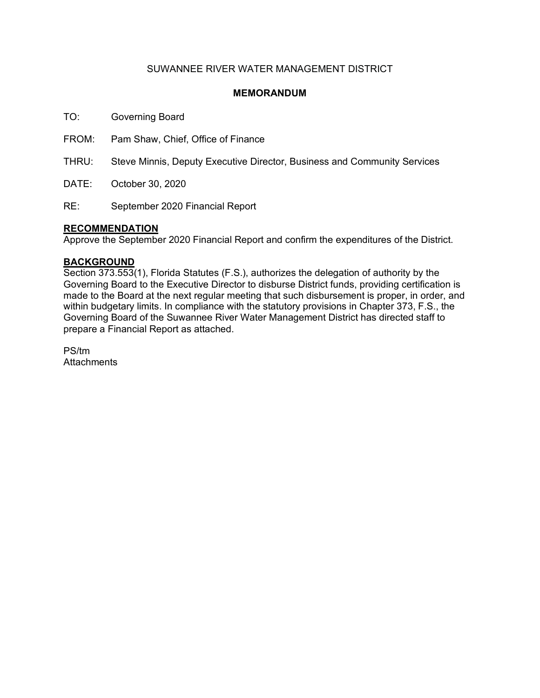### SUWANNEE RIVER WATER MANAGEMENT DISTRICT

### **MEMORANDUM**

TO: Governing Board

FROM: Pam Shaw, Chief, Office of Finance

THRU: Steve Minnis, Deputy Executive Director, Business and Community Services

DATE: October 30, 2020

RE: September 2020 Financial Report

### **RECOMMENDATION**

Approve the September 2020 Financial Report and confirm the expenditures of the District.

### **BACKGROUND**

Section 373.553(1), Florida Statutes (F.S.), authorizes the delegation of authority by the Governing Board to the Executive Director to disburse District funds, providing certification is made to the Board at the next regular meeting that such disbursement is proper, in order, and within budgetary limits. In compliance with the statutory provisions in Chapter 373, F.S., the Governing Board of the Suwannee River Water Management District has directed staff to prepare a Financial Report as attached.

PS/tm **Attachments**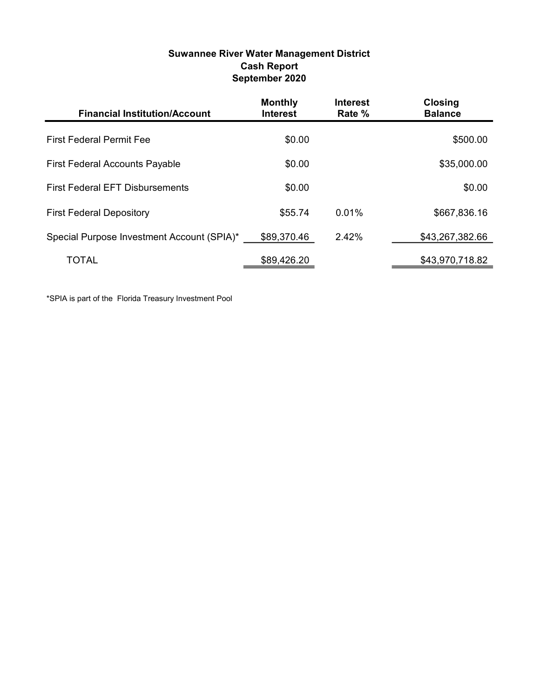### Suwannee River Water Management District Cash Report September 2020

| <b>Financial Institution/Account</b>       | <b>Monthly</b><br><b>Interest</b> | <b>Interest</b><br>Rate % | <b>Closing</b><br><b>Balance</b> |
|--------------------------------------------|-----------------------------------|---------------------------|----------------------------------|
| <b>First Federal Permit Fee</b>            | \$0.00                            |                           | \$500.00                         |
| <b>First Federal Accounts Payable</b>      | \$0.00                            |                           | \$35,000.00                      |
| <b>First Federal EFT Disbursements</b>     | \$0.00                            |                           | \$0.00                           |
| <b>First Federal Depository</b>            | \$55.74                           | 0.01%                     | \$667,836.16                     |
| Special Purpose Investment Account (SPIA)* | \$89,370.46                       | 2.42%                     | \$43,267,382.66                  |
| TOTAL                                      | \$89,426.20                       |                           | \$43,970,718.82                  |

\*SPIA is part of the Florida Treasury Investment Pool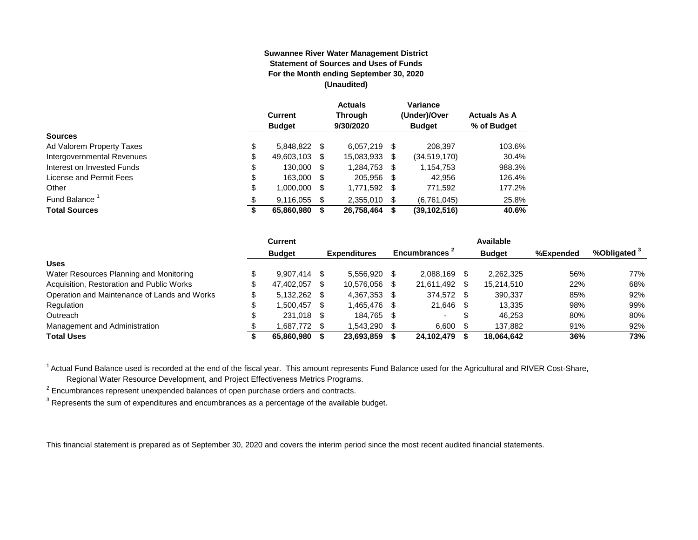#### **Suwannee River Water Management District Statement of Sources and Uses of Funds For the Month ending September 30, 2020 (Unaudited)**

|                                  | <b>Current</b><br><b>Budget</b> |      | <b>Actuals</b><br><b>Through</b><br>9/30/2020 |    | Variance<br>(Under)/Over<br><b>Budget</b> | <b>Actuals As A</b><br>% of Budget |
|----------------------------------|---------------------------------|------|-----------------------------------------------|----|-------------------------------------------|------------------------------------|
| <b>Sources</b>                   |                                 |      |                                               |    |                                           |                                    |
| \$<br>Ad Valorem Property Taxes  | 5,848,822 \$                    |      | $6,057,219$ \$                                |    | 208,397                                   | 103.6%                             |
| Intergovernmental Revenues<br>\$ | 49,603,103                      | S    | 15,083,933                                    | \$ | (34.519.170)                              | 30.4%                              |
| \$<br>Interest on Invested Funds | 130.000                         | - \$ | 1,284,753                                     | \$ | 1,154,753                                 | 988.3%                             |
| \$<br>License and Permit Fees    | 163,000                         | - \$ | 205,956                                       | S  | 42,956                                    | 126.4%                             |
| \$<br>Other                      | 1,000,000                       | S    | 1,771,592                                     | \$ | 771,592                                   | 177.2%                             |
| Fund Balance                     | 9.116.055                       | S    | 2.355.010                                     | \$ | (6,761,045)                               | 25.8%                              |
| <b>Total Sources</b><br>\$       | 65,860,980                      |      | 26,758,464                                    | S  | (39, 102, 516)                            | 40.6%                              |

|                                              | Current        |      |                     |      |                |     | Available     |           |                         |
|----------------------------------------------|----------------|------|---------------------|------|----------------|-----|---------------|-----------|-------------------------|
|                                              | <b>Budget</b>  |      | <b>Expenditures</b> |      | Encumbrances - |     | <b>Budget</b> | %Expended | %Obligated <sup>3</sup> |
| <b>Uses</b>                                  |                |      |                     |      |                |     |               |           |                         |
| Water Resources Planning and Monitoring      | $9.907.414$ \$ |      | 5.556.920           |      | 2.088.169      |     | 2.262.325     | 56%       | 77%                     |
| Acquisition, Restoration and Public Works    | 47.402.057     | -SS  | 10.576.056          |      | 21,611,492     | -SG | 15,214,510    | 22%       | 68%                     |
| Operation and Maintenance of Lands and Works | $5,132,262$ \$ |      | 4,367,353           | - \$ | 374.572 \$     |     | 390,337       | 85%       | 92%                     |
| Regulation                                   | 1,500,457      | - \$ | 1,465,476           |      | 21,646         |     | 13.335        | 98%       | 99%                     |
| Outreach                                     | 231.018 \$     |      | 184.765             | -S   |                |     | 46.253        | 80%       | 80%                     |
| Management and Administration                | 1.687.772 \$   |      | 1.543.290           |      | 6.600          |     | 137.882       | 91%       | 92%                     |
| <b>Total Uses</b>                            | 65.860.980     |      | 23,693,859          |      | 24,102,479     |     | 18,064,642    | 36%       | 73%                     |

<sup>1</sup> Actual Fund Balance used is recorded at the end of the fiscal year. This amount represents Fund Balance used for the Agricultural and RIVER Cost-Share,

Regional Water Resource Development, and Project Effectiveness Metrics Programs.

 $2$  Encumbrances represent unexpended balances of open purchase orders and contracts.

 $^3$  Represents the sum of expenditures and encumbrances as a percentage of the available budget.

This financial statement is prepared as of September 30, 2020 and covers the interim period since the most recent audited financial statements.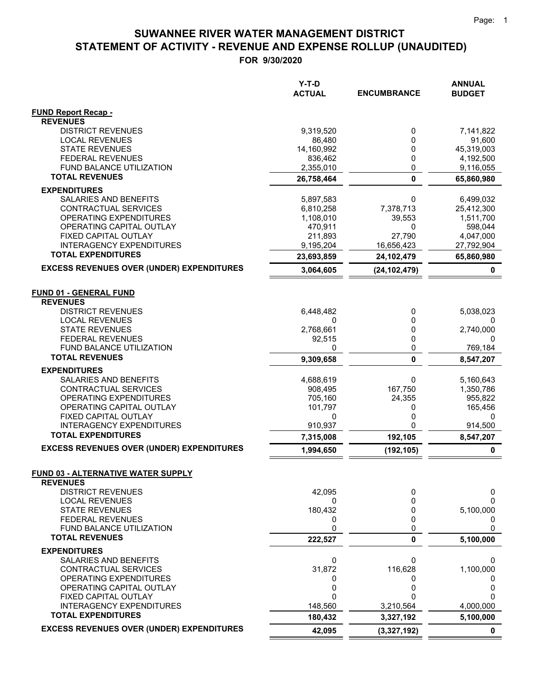|                                                              | $Y-T-D$<br><b>ACTUAL</b> | <b>ENCUMBRANCE</b> | <b>ANNUAL</b><br><b>BUDGET</b> |
|--------------------------------------------------------------|--------------------------|--------------------|--------------------------------|
| <b>FUND Report Recap -</b>                                   |                          |                    |                                |
| <b>REVENUES</b>                                              |                          |                    |                                |
| <b>DISTRICT REVENUES</b>                                     | 9,319,520                | 0<br>0             | 7,141,822                      |
| <b>LOCAL REVENUES</b><br><b>STATE REVENUES</b>               | 86,480<br>14,160,992     | 0                  | 91,600<br>45,319,003           |
| <b>FEDERAL REVENUES</b>                                      | 836,462                  | 0                  | 4,192,500                      |
| <b>FUND BALANCE UTILIZATION</b>                              | 2,355,010                | 0                  | 9,116,055                      |
| <b>TOTAL REVENUES</b>                                        | 26,758,464               | $\mathbf 0$        | 65,860,980                     |
| <b>EXPENDITURES</b>                                          |                          |                    |                                |
| SALARIES AND BENEFITS                                        | 5,897,583                | 0                  | 6,499,032                      |
| CONTRACTUAL SERVICES                                         | 6,810,258                | 7,378,713          | 25,412,300                     |
| OPERATING EXPENDITURES                                       | 1,108,010                | 39,553             | 1,511,700                      |
| OPERATING CAPITAL OUTLAY                                     | 470,911                  | 0                  | 598,044                        |
| FIXED CAPITAL OUTLAY                                         | 211,893                  | 27,790             | 4,047,000                      |
| <b>INTERAGENCY EXPENDITURES</b><br><b>TOTAL EXPENDITURES</b> | 9,195,204                | 16,656,423         | 27,792,904                     |
|                                                              | 23,693,859               | 24,102,479         | 65,860,980                     |
| <b>EXCESS REVENUES OVER (UNDER) EXPENDITURES</b>             | 3,064,605                | (24, 102, 479)     | 0                              |
| <b>FUND 01 - GENERAL FUND</b>                                |                          |                    |                                |
| <b>REVENUES</b>                                              |                          |                    |                                |
| <b>DISTRICT REVENUES</b>                                     | 6,448,482                | 0                  | 5,038,023                      |
| <b>LOCAL REVENUES</b>                                        | 0                        | 0                  |                                |
| <b>STATE REVENUES</b>                                        | 2,768,661                | 0                  | 2,740,000                      |
| <b>FEDERAL REVENUES</b>                                      | 92,515                   | 0                  | <sup>0</sup>                   |
| FUND BALANCE UTILIZATION<br><b>TOTAL REVENUES</b>            | 0                        | 0                  | 769,184                        |
|                                                              | 9,309,658                | 0                  | 8,547,207                      |
| <b>EXPENDITURES</b>                                          |                          |                    |                                |
| SALARIES AND BENEFITS<br>CONTRACTUAL SERVICES                | 4,688,619<br>908,495     | 0<br>167,750       | 5,160,643<br>1,350,786         |
| OPERATING EXPENDITURES                                       | 705,160                  | 24,355             | 955,822                        |
| OPERATING CAPITAL OUTLAY                                     | 101,797                  | 0                  | 165,456                        |
| FIXED CAPITAL OUTLAY                                         | 0                        | 0                  | 0                              |
| <b>INTERAGENCY EXPENDITURES</b>                              | 910,937                  | 0                  | 914,500                        |
| <b>TOTAL EXPENDITURES</b>                                    | 7,315,008                | 192,105            | 8,547,207                      |
| <b>EXCESS REVENUES OVER (UNDER) EXPENDITURES</b>             | 1,994,650                | (192, 105)         | 0                              |
| <b>FUND 03 - ALTERNATIVE WATER SUPPLY</b>                    |                          |                    |                                |
| <b>REVENUES</b>                                              |                          |                    |                                |
| <b>DISTRICT REVENUES</b>                                     | 42,095                   | 0                  | 0                              |
| <b>LOCAL REVENUES</b>                                        | 0                        | 0                  | 0                              |
| <b>STATE REVENUES</b>                                        | 180,432                  | 0                  | 5,100,000                      |
| <b>FEDERAL REVENUES</b>                                      | 0                        | 0                  | 0                              |
| FUND BALANCE UTILIZATION<br><b>TOTAL REVENUES</b>            | 0                        | 0                  | 0                              |
|                                                              | 222,527                  | 0                  | 5,100,000                      |
| <b>EXPENDITURES</b><br><b>SALARIES AND BENEFITS</b>          | 0                        | 0                  | 0                              |
| CONTRACTUAL SERVICES                                         | 31,872                   | 116,628            | 1,100,000                      |
| OPERATING EXPENDITURES                                       | 0                        | 0                  | 0                              |
| OPERATING CAPITAL OUTLAY                                     | 0                        | 0                  | 0                              |
| FIXED CAPITAL OUTLAY                                         | 0                        | 0                  | ი                              |
| <b>INTERAGENCY EXPENDITURES</b>                              | 148,560                  | 3,210,564          | 4,000,000                      |
| <b>TOTAL EXPENDITURES</b>                                    | 180,432                  | 3,327,192          | 5,100,000                      |
| <b>EXCESS REVENUES OVER (UNDER) EXPENDITURES</b>             | 42,095                   | (3,327,192)        | 0                              |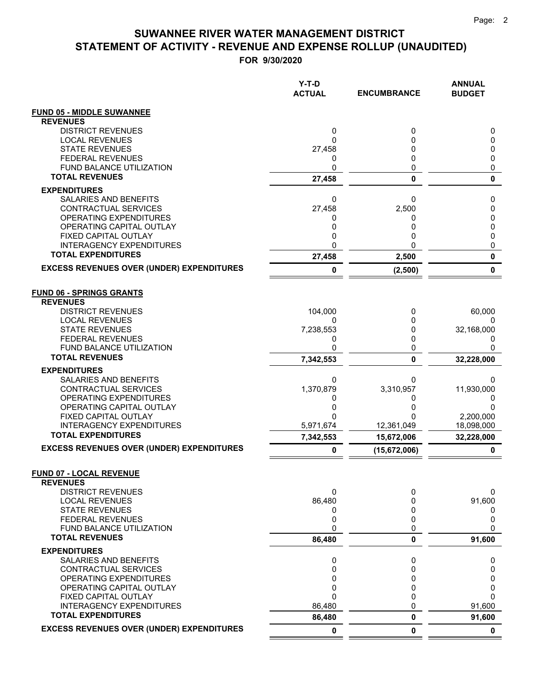**FOR 9/30/2020**

|                                                       | Y-T-D<br><b>ACTUAL</b> | <b>ENCUMBRANCE</b> | <b>ANNUAL</b><br><b>BUDGET</b> |
|-------------------------------------------------------|------------------------|--------------------|--------------------------------|
| <b>FUND 05 - MIDDLE SUWANNEE</b>                      |                        |                    |                                |
| <b>REVENUES</b>                                       |                        |                    |                                |
| <b>DISTRICT REVENUES</b>                              | 0                      | 0                  | 0                              |
| <b>LOCAL REVENUES</b><br><b>STATE REVENUES</b>        | 0<br>27,458            | 0<br>0             | 0<br>0                         |
| <b>FEDERAL REVENUES</b>                               | 0                      | 0                  | 0                              |
| <b>FUND BALANCE UTILIZATION</b>                       | 0                      | 0                  | 0                              |
| <b>TOTAL REVENUES</b>                                 | 27,458                 | 0                  | 0                              |
| <b>EXPENDITURES</b>                                   |                        |                    |                                |
| <b>SALARIES AND BENEFITS</b>                          | 0                      | 0                  | 0                              |
| <b>CONTRACTUAL SERVICES</b>                           | 27,458                 | 2,500              | 0                              |
| OPERATING EXPENDITURES<br>OPERATING CAPITAL OUTLAY    | 0<br>0                 | 0<br>0             | 0<br>0                         |
| FIXED CAPITAL OUTLAY                                  | 0                      | 0                  | 0                              |
| <b>INTERAGENCY EXPENDITURES</b>                       | 0                      | 0                  | 0                              |
| <b>TOTAL EXPENDITURES</b>                             | 27,458                 | 2,500              | 0                              |
| <b>EXCESS REVENUES OVER (UNDER) EXPENDITURES</b>      | 0                      | (2,500)            | 0                              |
| <b>FUND 06 - SPRINGS GRANTS</b>                       |                        |                    |                                |
| <b>REVENUES</b>                                       |                        |                    |                                |
| <b>DISTRICT REVENUES</b>                              | 104,000                | 0                  | 60,000                         |
| <b>LOCAL REVENUES</b>                                 | 0                      | 0                  | 0                              |
| <b>STATE REVENUES</b><br><b>FEDERAL REVENUES</b>      | 7,238,553<br>0         | 0<br>0             | 32,168,000<br>0                |
| <b>FUND BALANCE UTILIZATION</b>                       | 0                      | 0                  | 0                              |
| <b>TOTAL REVENUES</b>                                 | 7,342,553              | 0                  | 32,228,000                     |
| <b>EXPENDITURES</b>                                   |                        |                    |                                |
| SALARIES AND BENEFITS                                 | 0                      | 0                  | 0                              |
| CONTRACTUAL SERVICES<br>OPERATING EXPENDITURES        | 1,370,879<br>0         | 3,310,957<br>0     | 11,930,000<br>0                |
| OPERATING CAPITAL OUTLAY                              | 0                      | 0                  | 0                              |
| FIXED CAPITAL OUTLAY                                  | 0                      | 0                  | 2,200,000                      |
| <b>INTERAGENCY EXPENDITURES</b>                       | 5,971,674              | 12,361,049         | 18,098,000                     |
| <b>TOTAL EXPENDITURES</b>                             | 7,342,553              | 15,672,006         | 32,228,000                     |
| <b>EXCESS REVENUES OVER (UNDER) EXPENDITURES</b>      | 0                      | (15,672,006)       | 0                              |
| <b>FUND 07 - LOCAL REVENUE</b><br><b>REVENUES</b>     |                        |                    |                                |
| <b>DISTRICT REVENUES</b>                              | 0                      | 0                  | 0                              |
| <b>LOCAL REVENUES</b><br><b>STATE REVENUES</b>        | 86,480<br>0            | 0<br>0             | 91,600<br>0                    |
| <b>FEDERAL REVENUES</b>                               | 0                      | 0                  | 0                              |
| FUND BALANCE UTILIZATION                              | 0                      | 0                  | 0                              |
| <b>TOTAL REVENUES</b>                                 | 86,480                 | 0                  | 91,600                         |
| <b>EXPENDITURES</b>                                   |                        |                    |                                |
| SALARIES AND BENEFITS                                 | 0                      | 0                  | 0                              |
| <b>CONTRACTUAL SERVICES</b><br>OPERATING EXPENDITURES | 0<br>0                 | 0<br>0             | 0<br>0                         |
| OPERATING CAPITAL OUTLAY                              | 0                      | 0                  | 0                              |
| FIXED CAPITAL OUTLAY                                  | 0                      | 0                  | 0                              |
| <b>INTERAGENCY EXPENDITURES</b>                       | 86,480                 | 0                  | 91,600                         |
| <b>TOTAL EXPENDITURES</b>                             | 86,480                 | 0                  | 91,600                         |
| <b>EXCESS REVENUES OVER (UNDER) EXPENDITURES</b>      | $\mathbf 0$            | 0                  | $\mathbf 0$                    |

 $=$  $\equiv$   $=$   $=$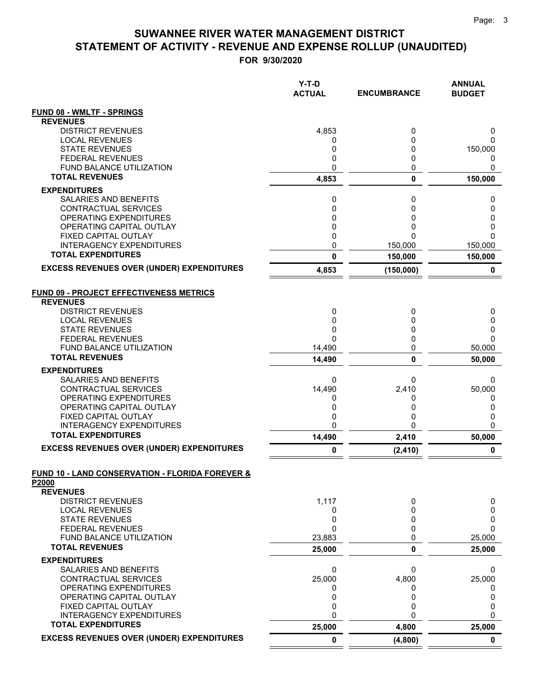|                                                            | Y-T-D<br><b>ACTUAL</b> | <b>ENCUMBRANCE</b> | <b>ANNUAL</b><br><b>BUDGET</b> |
|------------------------------------------------------------|------------------------|--------------------|--------------------------------|
| <b>FUND 08 - WMLTF - SPRINGS</b>                           |                        |                    |                                |
| <b>REVENUES</b>                                            |                        |                    |                                |
| <b>DISTRICT REVENUES</b>                                   | 4,853                  | 0                  | 0                              |
| <b>LOCAL REVENUES</b><br><b>STATE REVENUES</b>             | 0<br>0                 | 0<br>0             | 0<br>150,000                   |
| <b>FEDERAL REVENUES</b>                                    | 0                      | 0                  | 0                              |
| FUND BALANCE UTILIZATION                                   | 0                      | 0                  | 0                              |
| <b>TOTAL REVENUES</b>                                      | 4,853                  | 0                  | 150,000                        |
| <b>EXPENDITURES</b>                                        |                        |                    |                                |
| SALARIES AND BENEFITS                                      | 0                      | 0                  | 0                              |
| CONTRACTUAL SERVICES                                       | 0                      | 0                  | 0                              |
| OPERATING EXPENDITURES                                     | 0<br>0                 | 0<br>0             | 0                              |
| OPERATING CAPITAL OUTLAY<br>FIXED CAPITAL OUTLAY           | 0                      | 0                  | 0<br>$\Omega$                  |
| <b>INTERAGENCY EXPENDITURES</b>                            | 0                      | 150,000            | 150,000                        |
| <b>TOTAL EXPENDITURES</b>                                  | 0                      | 150,000            | 150,000                        |
| <b>EXCESS REVENUES OVER (UNDER) EXPENDITURES</b>           | 4,853                  | (150,000)          | 0                              |
| <b>FUND 09 - PROJECT EFFECTIVENESS METRICS</b>             |                        |                    |                                |
| <b>REVENUES</b>                                            |                        |                    |                                |
| <b>DISTRICT REVENUES</b>                                   | 0                      | 0                  | 0                              |
| <b>LOCAL REVENUES</b><br><b>STATE REVENUES</b>             | 0<br>0                 | 0<br>0             | 0<br>0                         |
| <b>FEDERAL REVENUES</b>                                    | $\Omega$               | 0                  | $\Omega$                       |
| <b>FUND BALANCE UTILIZATION</b>                            | 14,490                 | 0                  | 50,000                         |
| <b>TOTAL REVENUES</b>                                      | 14,490                 | 0                  | 50,000                         |
| <b>EXPENDITURES</b>                                        |                        |                    |                                |
| SALARIES AND BENEFITS                                      | 0                      | 0                  | 0                              |
| CONTRACTUAL SERVICES<br>OPERATING EXPENDITURES             | 14,490                 | 2,410              | 50,000                         |
| OPERATING CAPITAL OUTLAY                                   | 0<br>0                 | 0<br>0             | 0<br>0                         |
| FIXED CAPITAL OUTLAY                                       | 0                      | 0                  | 0                              |
| <b>INTERAGENCY EXPENDITURES</b>                            | 0                      | 0                  | $\Omega$                       |
| <b>TOTAL EXPENDITURES</b>                                  | 14,490                 | 2,410              | 50,000                         |
| <b>EXCESS REVENUES OVER (UNDER) EXPENDITURES</b>           | 0                      | (2, 410)           | 0                              |
| <b>FUND 10 - LAND CONSERVATION - FLORIDA FOREVER &amp;</b> |                        |                    |                                |
| P2000<br><b>REVENUES</b>                                   |                        |                    |                                |
| <b>DISTRICT REVENUES</b>                                   | 1,117                  | 0                  | 0                              |
| <b>LOCAL REVENUES</b>                                      | 0                      | 0                  | 0                              |
| <b>STATE REVENUES</b>                                      | 0                      | 0                  | 0                              |
| <b>FEDERAL REVENUES</b>                                    | $\Omega$               | 0                  | $\Omega$                       |
| FUND BALANCE UTILIZATION                                   | 23,883                 | 0                  | 25,000                         |
| <b>TOTAL REVENUES</b>                                      | 25,000                 | 0                  | 25,000                         |
| <b>EXPENDITURES</b>                                        |                        |                    |                                |
| SALARIES AND BENEFITS<br>CONTRACTUAL SERVICES              | 0<br>25,000            | 0<br>4,800         | 0<br>25,000                    |
| OPERATING EXPENDITURES                                     | 0                      | 0                  | 0                              |
| OPERATING CAPITAL OUTLAY                                   | 0                      | 0                  | 0                              |
| FIXED CAPITAL OUTLAY                                       | 0                      | 0                  | 0                              |
| <b>INTERAGENCY EXPENDITURES</b>                            | $\mathbf{0}$           | 0                  | $\mathbf{0}$                   |
| <b>TOTAL EXPENDITURES</b>                                  | 25,000                 | 4,800              | 25,000                         |
| <b>EXCESS REVENUES OVER (UNDER) EXPENDITURES</b>           | 0                      | (4,800)            | $\mathbf 0$                    |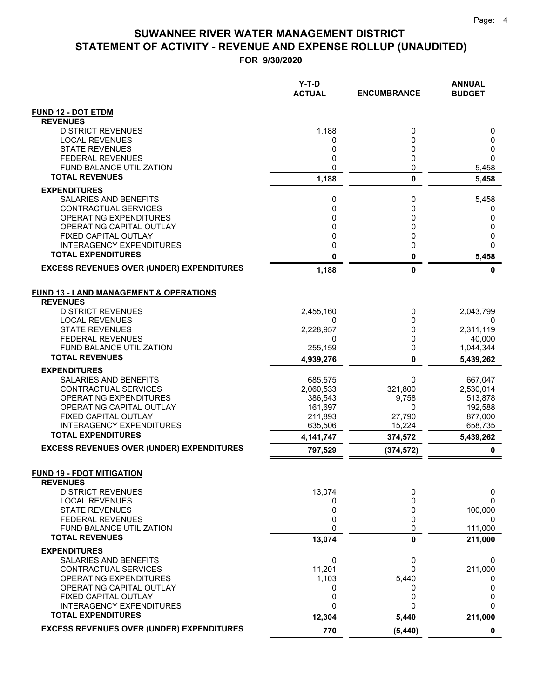|                                                            | Y-T-D<br><b>ACTUAL</b> | <b>ENCUMBRANCE</b> | <b>ANNUAL</b><br><b>BUDGET</b> |
|------------------------------------------------------------|------------------------|--------------------|--------------------------------|
| <b>FUND 12 - DOT ETDM</b>                                  |                        |                    |                                |
| <b>REVENUES</b>                                            |                        |                    |                                |
| <b>DISTRICT REVENUES</b>                                   | 1,188                  | 0                  | 0                              |
| <b>LOCAL REVENUES</b>                                      | 0                      | 0                  | 0                              |
| <b>STATE REVENUES</b><br><b>FEDERAL REVENUES</b>           | 0<br>0                 | 0<br>0             | 0<br>$\mathbf{0}$              |
| FUND BALANCE UTILIZATION                                   | 0                      | 0                  | 5,458                          |
| <b>TOTAL REVENUES</b>                                      | 1,188                  | $\mathbf 0$        | 5,458                          |
| <b>EXPENDITURES</b>                                        |                        |                    |                                |
| SALARIES AND BENEFITS                                      | 0                      | 0                  | 5,458                          |
| CONTRACTUAL SERVICES                                       | 0                      | 0                  | 0                              |
| <b>OPERATING EXPENDITURES</b>                              | 0                      | 0                  | 0                              |
| OPERATING CAPITAL OUTLAY                                   | 0                      | 0                  | 0                              |
| FIXED CAPITAL OUTLAY<br><b>INTERAGENCY EXPENDITURES</b>    | 0<br>0                 | 0<br>0             | 0<br>$\Omega$                  |
| <b>TOTAL EXPENDITURES</b>                                  | 0                      | 0                  | 5,458                          |
| <b>EXCESS REVENUES OVER (UNDER) EXPENDITURES</b>           | 1,188                  | 0                  | 0                              |
| <b>FUND 13 - LAND MANAGEMENT &amp; OPERATIONS</b>          |                        |                    |                                |
| <b>REVENUES</b>                                            |                        |                    |                                |
| <b>DISTRICT REVENUES</b>                                   | 2,455,160              | 0                  | 2,043,799                      |
| <b>LOCAL REVENUES</b>                                      | 0                      | 0                  | 0                              |
| <b>STATE REVENUES</b>                                      | 2,228,957              | 0<br>$\Omega$      | 2,311,119                      |
| <b>FEDERAL REVENUES</b><br><b>FUND BALANCE UTILIZATION</b> | 0<br>255,159           | 0                  | 40,000<br>1,044,344            |
| <b>TOTAL REVENUES</b>                                      | 4,939,276              | 0                  | 5,439,262                      |
| <b>EXPENDITURES</b>                                        |                        |                    |                                |
| SALARIES AND BENEFITS                                      | 685,575                | 0                  | 667,047                        |
| CONTRACTUAL SERVICES                                       | 2,060,533              | 321,800            | 2,530,014                      |
| OPERATING EXPENDITURES                                     | 386,543                | 9,758              | 513,878                        |
| OPERATING CAPITAL OUTLAY                                   | 161,697                | 0                  | 192,588                        |
| FIXED CAPITAL OUTLAY<br><b>INTERAGENCY EXPENDITURES</b>    | 211,893<br>635,506     | 27,790<br>15,224   | 877,000<br>658,735             |
| <b>TOTAL EXPENDITURES</b>                                  | 4,141,747              | 374,572            | 5,439,262                      |
| <b>EXCESS REVENUES OVER (UNDER) EXPENDITURES</b>           | 797,529                | (374, 572)         | 0                              |
|                                                            |                        |                    |                                |
| <b>FUND 19 - FDOT MITIGATION</b><br><b>REVENUES</b>        |                        |                    |                                |
| <b>DISTRICT REVENUES</b>                                   | 13,074                 | 0                  | 0                              |
| <b>LOCAL REVENUES</b>                                      | 0                      | 0                  | 0                              |
| <b>STATE REVENUES</b>                                      | 0                      | 0                  | 100,000                        |
| <b>FEDERAL REVENUES</b>                                    | 0                      | 0                  | 0                              |
| FUND BALANCE UTILIZATION<br><b>TOTAL REVENUES</b>          | 0                      | 0                  | 111,000                        |
|                                                            | 13,074                 | 0                  | 211,000                        |
| <b>EXPENDITURES</b>                                        |                        |                    |                                |
| SALARIES AND BENEFITS<br><b>CONTRACTUAL SERVICES</b>       | 0<br>11,201            | 0<br>0             | 0<br>211,000                   |
| OPERATING EXPENDITURES                                     | 1,103                  | 5,440              | 0                              |
| OPERATING CAPITAL OUTLAY                                   | 0                      | 0                  | 0                              |
| FIXED CAPITAL OUTLAY                                       | 0                      | 0                  | 0                              |
| <b>INTERAGENCY EXPENDITURES</b>                            | 0                      | 0                  | 0                              |
| <b>TOTAL EXPENDITURES</b>                                  | 12,304                 | 5,440              | 211,000                        |
| <b>EXCESS REVENUES OVER (UNDER) EXPENDITURES</b>           | 770                    | (5, 440)           | $\mathbf 0$                    |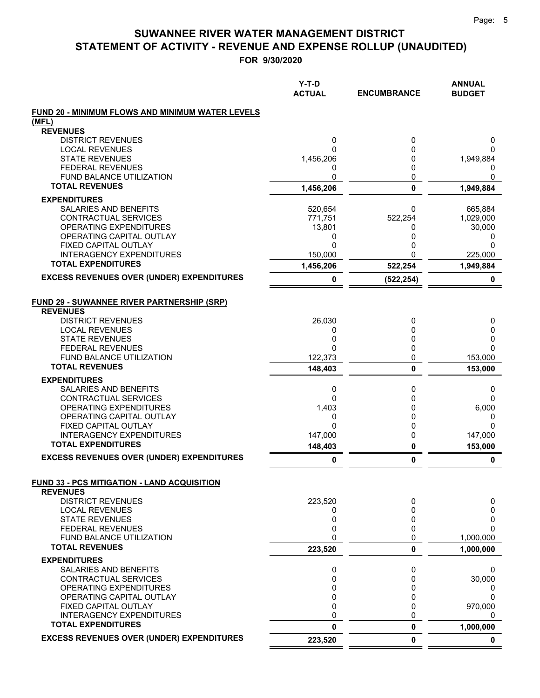|                                                                       | $Y-T-D$<br><b>ACTUAL</b> | <b>ENCUMBRANCE</b> | <b>ANNUAL</b><br><b>BUDGET</b> |
|-----------------------------------------------------------------------|--------------------------|--------------------|--------------------------------|
|                                                                       |                          |                    |                                |
| <b>FUND 20 - MINIMUM FLOWS AND MINIMUM WATER LEVELS</b>               |                          |                    |                                |
| (MFL)<br><b>REVENUES</b>                                              |                          |                    |                                |
| <b>DISTRICT REVENUES</b>                                              | 0                        | 0                  | 0                              |
| <b>LOCAL REVENUES</b>                                                 | O                        | 0                  | 0                              |
| <b>STATE REVENUES</b>                                                 | 1,456,206                | 0                  | 1,949,884                      |
| <b>FEDERAL REVENUES</b><br><b>FUND BALANCE UTILIZATION</b>            | 0<br>0                   | 0<br>0             | 0<br>0                         |
| <b>TOTAL REVENUES</b>                                                 | 1,456,206                | 0                  | 1,949,884                      |
| <b>EXPENDITURES</b>                                                   |                          |                    |                                |
| <b>SALARIES AND BENEFITS</b>                                          | 520,654                  | 0                  | 665,884                        |
| CONTRACTUAL SERVICES                                                  | 771,751                  | 522,254            | 1,029,000                      |
| OPERATING EXPENDITURES                                                | 13,801                   | 0                  | 30,000                         |
| OPERATING CAPITAL OUTLAY                                              | 0                        | 0                  | 0                              |
| <b>FIXED CAPITAL OUTLAY</b><br><b>INTERAGENCY EXPENDITURES</b>        | $\mathbf{0}$<br>150,000  | 0<br>0             | $\Omega$<br>225,000            |
| <b>TOTAL EXPENDITURES</b>                                             | 1,456,206                | 522,254            | 1,949,884                      |
| <b>EXCESS REVENUES OVER (UNDER) EXPENDITURES</b>                      | 0                        |                    | 0                              |
|                                                                       |                          | (522, 254)         |                                |
| <b>FUND 29 - SUWANNEE RIVER PARTNERSHIP (SRP)</b>                     |                          |                    |                                |
| <b>REVENUES</b>                                                       |                          |                    |                                |
| <b>DISTRICT REVENUES</b>                                              | 26,030                   | 0                  | 0                              |
| <b>LOCAL REVENUES</b><br><b>STATE REVENUES</b>                        | 0<br>0                   | 0<br>0             | 0<br>0                         |
| <b>FEDERAL REVENUES</b>                                               | O                        | 0                  | $\Omega$                       |
| <b>FUND BALANCE UTILIZATION</b>                                       | 122,373                  | 0                  | 153,000                        |
| <b>TOTAL REVENUES</b>                                                 | 148,403                  | 0                  | 153,000                        |
| <b>EXPENDITURES</b>                                                   |                          |                    |                                |
| SALARIES AND BENEFITS                                                 | 0                        | 0                  | 0                              |
| CONTRACTUAL SERVICES                                                  | 0                        | 0                  | 0                              |
| OPERATING EXPENDITURES                                                | 1,403                    | 0                  | 6,000                          |
| OPERATING CAPITAL OUTLAY<br>FIXED CAPITAL OUTLAY                      | 0<br>0                   | 0<br>0             | 0<br>$\Omega$                  |
| <b>INTERAGENCY EXPENDITURES</b>                                       | 147.000                  | 0                  | 147,000                        |
| <b>TOTAL EXPENDITURES</b>                                             | 148,403                  | 0                  | 153,000                        |
| <b>EXCESS REVENUES OVER (UNDER) EXPENDITURES</b>                      | 0                        | 0                  | 0                              |
|                                                                       |                          |                    |                                |
| <b>FUND 33 - PCS MITIGATION - LAND ACQUISITION</b><br><b>REVENUES</b> |                          |                    |                                |
| <b>DISTRICT REVENUES</b>                                              | 223,520                  | 0                  | 0                              |
| <b>LOCAL REVENUES</b>                                                 | 0                        | 0                  | 0                              |
| <b>STATE REVENUES</b>                                                 | 0                        | 0                  | 0                              |
| <b>FEDERAL REVENUES</b>                                               | 0                        | 0                  | $\Omega$                       |
| FUND BALANCE UTILIZATION<br><b>TOTAL REVENUES</b>                     | 0                        | 0                  | 1,000,000                      |
|                                                                       | 223,520                  | 0                  | 1,000,000                      |
| <b>EXPENDITURES</b><br>SALARIES AND BENEFITS                          | 0                        | 0                  | 0                              |
| CONTRACTUAL SERVICES                                                  | 0                        | 0                  | 30,000                         |
| OPERATING EXPENDITURES                                                | 0                        | 0                  | 0                              |
| OPERATING CAPITAL OUTLAY                                              | 0                        | 0                  | $\Omega$                       |
| FIXED CAPITAL OUTLAY                                                  | 0                        | 0                  | 970,000                        |
| <b>INTERAGENCY EXPENDITURES</b><br><b>TOTAL EXPENDITURES</b>          | 0                        | 0                  | 0                              |
|                                                                       | 0                        | 0                  | 1,000,000                      |
| <b>EXCESS REVENUES OVER (UNDER) EXPENDITURES</b>                      | 223,520                  | 0                  | 0                              |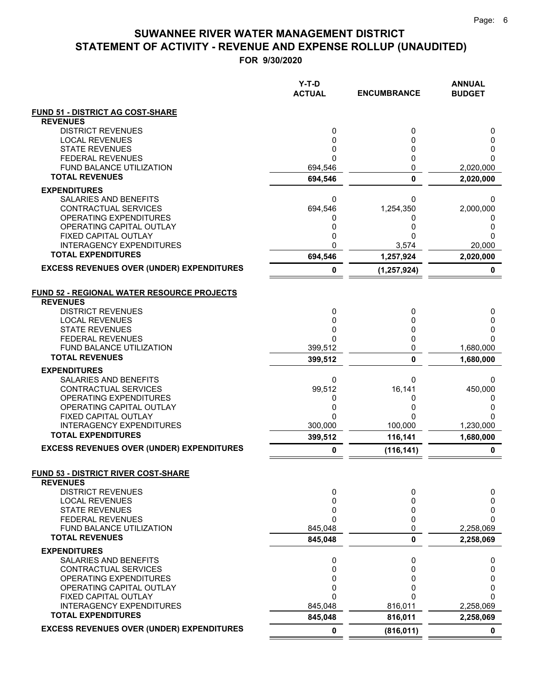**FOR 9/30/2020**

|                                                              | Y-T-D<br><b>ACTUAL</b> | <b>ENCUMBRANCE</b> | <b>ANNUAL</b><br><b>BUDGET</b> |
|--------------------------------------------------------------|------------------------|--------------------|--------------------------------|
| <b>FUND 51 - DISTRICT AG COST-SHARE</b>                      |                        |                    |                                |
| <b>REVENUES</b>                                              |                        |                    |                                |
| <b>DISTRICT REVENUES</b><br><b>LOCAL REVENUES</b>            | 0<br>0                 | 0<br>0             | 0<br>0                         |
| <b>STATE REVENUES</b>                                        | 0                      | 0                  | 0                              |
| <b>FEDERAL REVENUES</b>                                      | $\Omega$               | 0                  | 0                              |
| <b>FUND BALANCE UTILIZATION</b>                              | 694,546                | 0                  | 2,020,000                      |
| <b>TOTAL REVENUES</b>                                        | 694,546                | 0                  | 2,020,000                      |
| <b>EXPENDITURES</b>                                          |                        |                    |                                |
| <b>SALARIES AND BENEFITS</b><br><b>CONTRACTUAL SERVICES</b>  | 0<br>694,546           | 0<br>1,254,350     | 0<br>2,000,000                 |
| <b>OPERATING EXPENDITURES</b>                                | 0                      | 0                  | 0                              |
| OPERATING CAPITAL OUTLAY                                     | 0                      | 0                  | 0                              |
| FIXED CAPITAL OUTLAY                                         | 0                      | 0                  | 0                              |
| <b>INTERAGENCY EXPENDITURES</b><br><b>TOTAL EXPENDITURES</b> | 0                      | 3,574              | 20,000                         |
| <b>EXCESS REVENUES OVER (UNDER) EXPENDITURES</b>             | 694,546                | 1,257,924          | 2,020,000                      |
|                                                              | 0                      | (1, 257, 924)      | 0                              |
| <b>FUND 52 - REGIONAL WATER RESOURCE PROJECTS</b>            |                        |                    |                                |
| <b>REVENUES</b>                                              |                        |                    |                                |
| <b>DISTRICT REVENUES</b>                                     | 0                      | 0                  | 0                              |
| <b>LOCAL REVENUES</b>                                        | 0<br>0                 | 0                  | 0                              |
| <b>STATE REVENUES</b><br><b>FEDERAL REVENUES</b>             | 0                      | 0<br>0             | 0<br>0                         |
| <b>FUND BALANCE UTILIZATION</b>                              | 399,512                | 0                  | 1,680,000                      |
| <b>TOTAL REVENUES</b>                                        | 399,512                | 0                  | 1,680,000                      |
| <b>EXPENDITURES</b>                                          |                        |                    |                                |
| SALARIES AND BENEFITS                                        | 0                      | 0                  | 0                              |
| CONTRACTUAL SERVICES<br>OPERATING EXPENDITURES               | 99,512<br>0            | 16,141<br>0        | 450,000<br>0                   |
| OPERATING CAPITAL OUTLAY                                     | 0                      | 0                  | 0                              |
| FIXED CAPITAL OUTLAY                                         | 0                      | 0                  | 0                              |
| <b>INTERAGENCY EXPENDITURES</b>                              | 300,000                | 100,000            | 1,230,000                      |
| <b>TOTAL EXPENDITURES</b>                                    | 399,512                | 116,141            | 1,680,000                      |
| <b>EXCESS REVENUES OVER (UNDER) EXPENDITURES</b>             | 0                      | (116, 141)         | 0                              |
| FUND 53 - DISTRICT RIVER COST-SHARE<br><b>REVENUES</b>       |                        |                    |                                |
| <b>DISTRICT REVENUES</b>                                     | 0                      | 0                  | 0                              |
| <b>LOCAL REVENUES</b>                                        | 0                      | 0                  | 0                              |
| <b>STATE REVENUES</b>                                        | 0                      | 0                  | 0                              |
| <b>FEDERAL REVENUES</b><br>FUND BALANCE UTILIZATION          | 0<br>845,048           | 0<br>0             | 0<br>2,258,069                 |
| <b>TOTAL REVENUES</b>                                        | 845,048                | 0                  | 2,258,069                      |
| <b>EXPENDITURES</b>                                          |                        |                    |                                |
| SALARIES AND BENEFITS                                        | 0                      | 0                  | 0                              |
| <b>CONTRACTUAL SERVICES</b>                                  | 0                      | 0                  | 0                              |
| OPERATING EXPENDITURES<br>OPERATING CAPITAL OUTLAY           | 0<br>0                 | 0<br>0             | 0<br>0                         |
| FIXED CAPITAL OUTLAY                                         | 0                      | N                  | 0                              |
| <b>INTERAGENCY EXPENDITURES</b>                              | 845,048                | 816,011            | 2,258,069                      |
| <b>TOTAL EXPENDITURES</b>                                    | 845,048                | 816,011            | 2,258,069                      |
| <b>EXCESS REVENUES OVER (UNDER) EXPENDITURES</b>             | $\mathbf 0$            | (816, 011)         | 0                              |

 $=$  $\equiv$   $=$   $=$